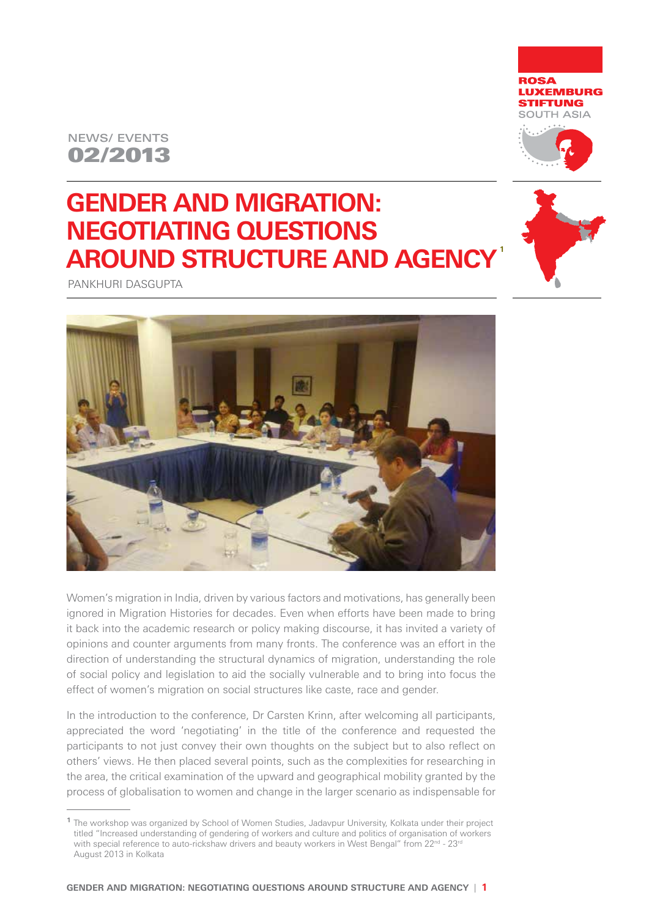# 02/2013 NEWS/ EVENTS





**1**

# **GENDER AND MIGRATION: Negotiating Questions around Structure and Agency**

Pankhuri Dasgupta



Women's migration in India, driven by various factors and motivations, has generally been ignored in Migration Histories for decades. Even when efforts have been made to bring it back into the academic research or policy making discourse, it has invited a variety of opinions and counter arguments from many fronts. The conference was an effort in the direction of understanding the structural dynamics of migration, understanding the role of social policy and legislation to aid the socially vulnerable and to bring into focus the effect of women's migration on social structures like caste, race and gender.

In the introduction to the conference, Dr Carsten Krinn, after welcoming all participants, appreciated the word 'negotiating' in the title of the conference and requested the participants to not just convey their own thoughts on the subject but to also reflect on others' views. He then placed several points, such as the complexities for researching in the area, the critical examination of the upward and geographical mobility granted by the process of globalisation to women and change in the larger scenario as indispensable for

<sup>&</sup>lt;sup>1</sup> The workshop was organized by School of Women Studies, Jadavpur University, Kolkata under their project titled "Increased understanding of gendering of workers and culture and politics of organisation of workers with special reference to auto-rickshaw drivers and beauty workers in West Bengal" from 22<sup>nd</sup> - 23<sup>rd</sup> August 2013 in Kolkata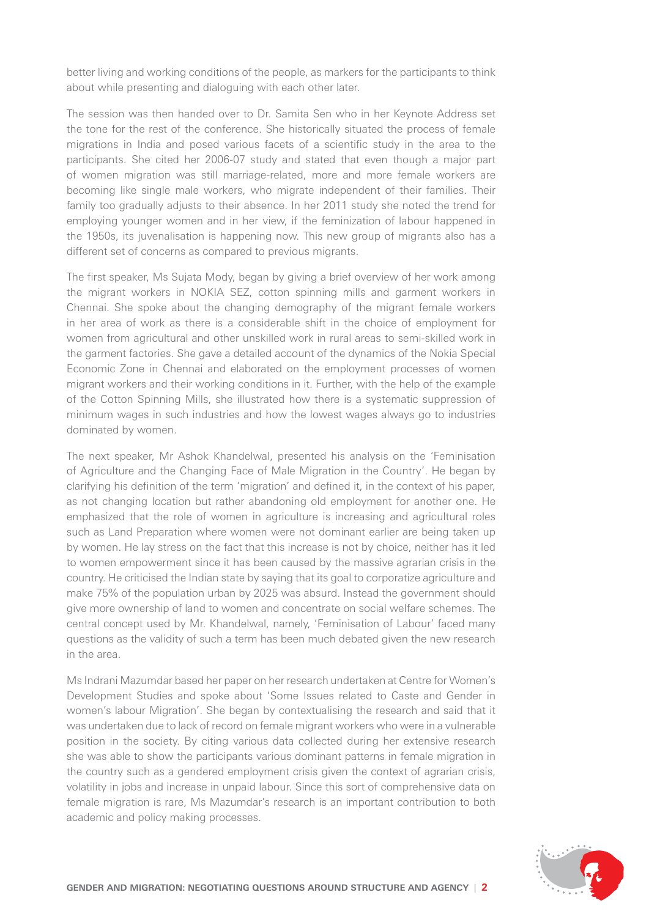better living and working conditions of the people, as markers for the participants to think about while presenting and dialoguing with each other later.

The session was then handed over to Dr. Samita Sen who in her Keynote Address set the tone for the rest of the conference. She historically situated the process of female migrations in India and posed various facets of a scientific study in the area to the participants. She cited her 2006-07 study and stated that even though a major part of women migration was still marriage-related, more and more female workers are becoming like single male workers, who migrate independent of their families. Their family too gradually adjusts to their absence. In her 2011 study she noted the trend for employing younger women and in her view, if the feminization of labour happened in the 1950s, its juvenalisation is happening now. This new group of migrants also has a different set of concerns as compared to previous migrants.

The first speaker, Ms Sujata Mody, began by giving a brief overview of her work among the migrant workers in NOKIA SEZ, cotton spinning mills and garment workers in Chennai. She spoke about the changing demography of the migrant female workers in her area of work as there is a considerable shift in the choice of employment for women from agricultural and other unskilled work in rural areas to semi-skilled work in the garment factories. She gave a detailed account of the dynamics of the Nokia Special Economic Zone in Chennai and elaborated on the employment processes of women migrant workers and their working conditions in it. Further, with the help of the example of the Cotton Spinning Mills, she illustrated how there is a systematic suppression of minimum wages in such industries and how the lowest wages always go to industries dominated by women.

The next speaker, Mr Ashok Khandelwal, presented his analysis on the 'Feminisation of Agriculture and the Changing Face of Male Migration in the Country'. He began by clarifying his definition of the term 'migration' and defined it, in the context of his paper, as not changing location but rather abandoning old employment for another one. He emphasized that the role of women in agriculture is increasing and agricultural roles such as Land Preparation where women were not dominant earlier are being taken up by women. He lay stress on the fact that this increase is not by choice, neither has it led to women empowerment since it has been caused by the massive agrarian crisis in the country. He criticised the Indian state by saying that its goal to corporatize agriculture and make 75% of the population urban by 2025 was absurd. Instead the government should give more ownership of land to women and concentrate on social welfare schemes. The central concept used by Mr. Khandelwal, namely, 'Feminisation of Labour' faced many questions as the validity of such a term has been much debated given the new research in the area.

Ms Indrani Mazumdar based her paper on her research undertaken at Centre for Women's Development Studies and spoke about 'Some Issues related to Caste and Gender in women's labour Migration'. She began by contextualising the research and said that it was undertaken due to lack of record on female migrant workers who were in a vulnerable position in the society. By citing various data collected during her extensive research she was able to show the participants various dominant patterns in female migration in the country such as a gendered employment crisis given the context of agrarian crisis, volatility in jobs and increase in unpaid labour. Since this sort of comprehensive data on female migration is rare, Ms Mazumdar's research is an important contribution to both academic and policy making processes.

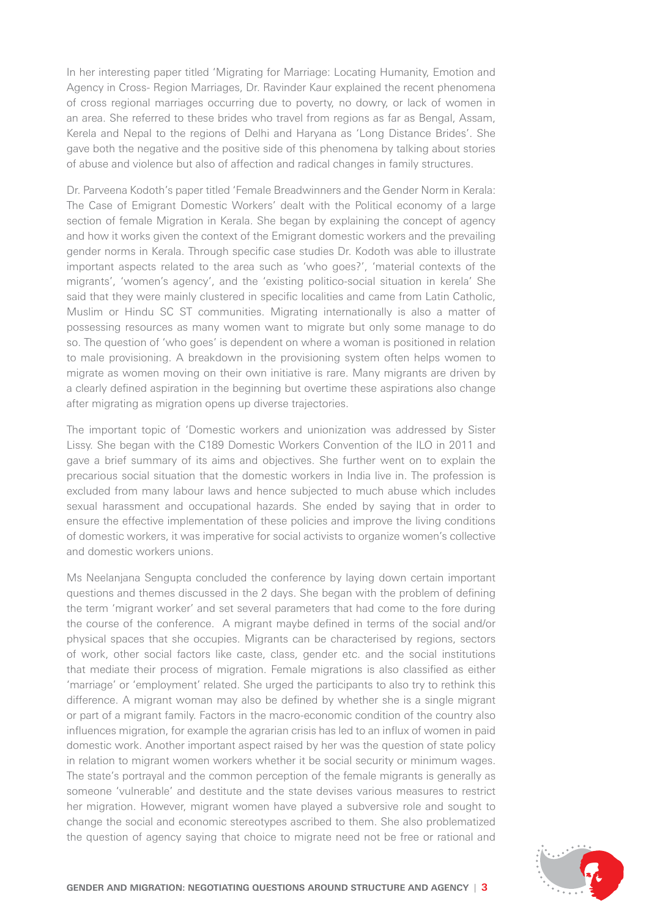In her interesting paper titled 'Migrating for Marriage: Locating Humanity, Emotion and Agency in Cross- Region Marriages, Dr. Ravinder Kaur explained the recent phenomena of cross regional marriages occurring due to poverty, no dowry, or lack of women in an area. She referred to these brides who travel from regions as far as Bengal, Assam, Kerela and Nepal to the regions of Delhi and Haryana as 'Long Distance Brides'. She gave both the negative and the positive side of this phenomena by talking about stories of abuse and violence but also of affection and radical changes in family structures.

Dr. Parveena Kodoth's paper titled 'Female Breadwinners and the Gender Norm in Kerala: The Case of Emigrant Domestic Workers' dealt with the Political economy of a large section of female Migration in Kerala. She began by explaining the concept of agency and how it works given the context of the Emigrant domestic workers and the prevailing gender norms in Kerala. Through specific case studies Dr. Kodoth was able to illustrate important aspects related to the area such as 'who goes?', 'material contexts of the migrants', 'women's agency', and the 'existing politico-social situation in kerela' She said that they were mainly clustered in specific localities and came from Latin Catholic, Muslim or Hindu SC ST communities. Migrating internationally is also a matter of possessing resources as many women want to migrate but only some manage to do so. The question of 'who goes' is dependent on where a woman is positioned in relation to male provisioning. A breakdown in the provisioning system often helps women to migrate as women moving on their own initiative is rare. Many migrants are driven by a clearly defined aspiration in the beginning but overtime these aspirations also change after migrating as migration opens up diverse trajectories.

The important topic of 'Domestic workers and unionization was addressed by Sister Lissy. She began with the C189 Domestic Workers Convention of the ILO in 2011 and gave a brief summary of its aims and objectives. She further went on to explain the precarious social situation that the domestic workers in India live in. The profession is excluded from many labour laws and hence subjected to much abuse which includes sexual harassment and occupational hazards. She ended by saying that in order to ensure the effective implementation of these policies and improve the living conditions of domestic workers, it was imperative for social activists to organize women's collective and domestic workers unions.

Ms Neelanjana Sengupta concluded the conference by laying down certain important questions and themes discussed in the 2 days. She began with the problem of defining the term 'migrant worker' and set several parameters that had come to the fore during the course of the conference. A migrant maybe defined in terms of the social and/or physical spaces that she occupies. Migrants can be characterised by regions, sectors of work, other social factors like caste, class, gender etc. and the social institutions that mediate their process of migration. Female migrations is also classified as either 'marriage' or 'employment' related. She urged the participants to also try to rethink this difference. A migrant woman may also be defined by whether she is a single migrant or part of a migrant family. Factors in the macro-economic condition of the country also influences migration, for example the agrarian crisis has led to an influx of women in paid domestic work. Another important aspect raised by her was the question of state policy in relation to migrant women workers whether it be social security or minimum wages. The state's portrayal and the common perception of the female migrants is generally as someone 'vulnerable' and destitute and the state devises various measures to restrict her migration. However, migrant women have played a subversive role and sought to change the social and economic stereotypes ascribed to them. She also problematized the question of agency saying that choice to migrate need not be free or rational and